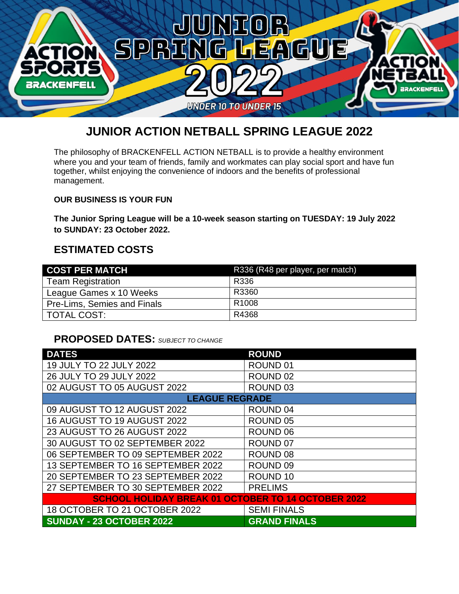

## **JUNIOR ACTION NETBALL SPRING LEAGUE 2022**

The philosophy of BRACKENFELL ACTION NETBALL is to provide a healthy environment where you and your team of friends, family and workmates can play social sport and have fun together, whilst enjoying the convenience of indoors and the benefits of professional management.

#### **OUR BUSINESS IS YOUR FUN**

**The Junior Spring League will be a 10-week season starting on TUESDAY: 19 July 2022 to SUNDAY: 23 October 2022.**

#### **ESTIMATED COSTS**

| <b>COST PER MATCH</b>              | R336 (R48 per player, per match) |
|------------------------------------|----------------------------------|
| <b>Team Registration</b>           | R336                             |
| League Games x 10 Weeks            | R3360                            |
| <b>Pre-Lims, Semies and Finals</b> | R <sub>1008</sub>                |
| TOTAL COST:                        | R4368                            |

### **PROPOSED DATES:** *SUBJECT TO CHANGE*

| <b>DATES</b>                                              | <b>ROUND</b>        |  |  |
|-----------------------------------------------------------|---------------------|--|--|
| 19 JULY TO 22 JULY 2022                                   | ROUND <sub>01</sub> |  |  |
| 26 JULY TO 29 JULY 2022                                   | ROUND <sub>02</sub> |  |  |
| 02 AUGUST TO 05 AUGUST 2022                               | ROUND <sub>03</sub> |  |  |
| <b>LEAGUE REGRADE</b>                                     |                     |  |  |
| 09 AUGUST TO 12 AUGUST 2022                               | ROUND <sub>04</sub> |  |  |
| 16 AUGUST TO 19 AUGUST 2022                               | ROUND <sub>05</sub> |  |  |
| 23 AUGUST TO 26 AUGUST 2022                               | ROUND 06            |  |  |
| 30 AUGUST TO 02 SEPTEMBER 2022                            | ROUND <sub>07</sub> |  |  |
| 06 SEPTEMBER TO 09 SEPTEMBER 2022                         | ROUND <sub>08</sub> |  |  |
| 13 SEPTEMBER TO 16 SEPTEMBER 2022                         | ROUND <sub>09</sub> |  |  |
| 20 SEPTEMBER TO 23 SEPTEMBER 2022                         | ROUND <sub>10</sub> |  |  |
| 27 SEPTEMBER TO 30 SEPTEMBER 2022                         | <b>PRELIMS</b>      |  |  |
| <b>SCHOOL HOLIDAY BREAK 01 OCTOBER TO 14 OCTOBER 2022</b> |                     |  |  |
| 18 OCTOBER TO 21 OCTOBER 2022                             | <b>SEMI FINALS</b>  |  |  |
| <b>SUNDAY - 23 OCTOBER 2022</b>                           | <b>GRAND FINALS</b> |  |  |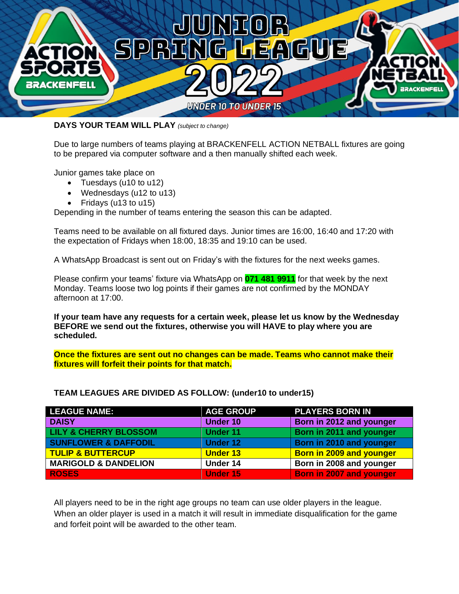

**DAYS YOUR TEAM WILL PLAY** *(subject to change)*

Due to large numbers of teams playing at BRACKENFELL ACTION NETBALL fixtures are going to be prepared via computer software and a then manually shifted each week.

Junior games take place on

- Tuesdays (u10 to u12)
- Wednesdays (u12 to u13)
- Fridays (u13 to u15)

Depending in the number of teams entering the season this can be adapted.

Teams need to be available on all fixtured days. Junior times are 16:00, 16:40 and 17:20 with the expectation of Fridays when 18:00, 18:35 and 19:10 can be used.

A WhatsApp Broadcast is sent out on Friday's with the fixtures for the next weeks games.

Please confirm your teams' fixture via WhatsApp on **071 481 9911** for that week by the next Monday. Teams loose two log points if their games are not confirmed by the MONDAY afternoon at 17:00.

**If your team have any requests for a certain week, please let us know by the Wednesday BEFORE we send out the fixtures, otherwise you will HAVE to play where you are scheduled.** 

**Once the fixtures are sent out no changes can be made. Teams who cannot make their fixtures will forfeit their points for that match.**

| <b>LEAGUE NAME:</b>              | <b>AGE GROUP</b> | <b>PLAYERS BORN IN</b>          |
|----------------------------------|------------------|---------------------------------|
| <b>DAISY</b>                     | <b>Under 10</b>  | Born in 2012 and younger        |
| <b>LILY &amp; CHERRY BLOSSOM</b> | <b>Under 11</b>  | Born in 2011 and younger        |
| <b>SUNFLOWER &amp; DAFFODIL</b>  | <b>Under 12</b>  | Born in 2010 and younger        |
| <b>TULIP &amp; BUTTERCUP</b>     | <b>Under 13</b>  | Born in 2009 and younger        |
| <b>MARIGOLD &amp; DANDELION</b>  | Under 14         | Born in 2008 and younger        |
| <b>ROSES</b>                     | <b>Under 15</b>  | <b>Born in 2007 and younger</b> |

#### **TEAM LEAGUES ARE DIVIDED AS FOLLOW: (under10 to under15)**

All players need to be in the right age groups no team can use older players in the league. When an older player is used in a match it will result in immediate disqualification for the game and forfeit point will be awarded to the other team.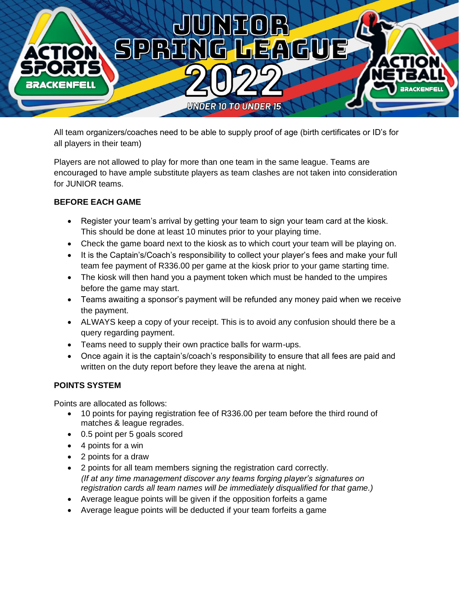

All team organizers/coaches need to be able to supply proof of age (birth certificates or ID's for all players in their team)

Players are not allowed to play for more than one team in the same league. Teams are encouraged to have ample substitute players as team clashes are not taken into consideration for JUNIOR teams.

#### **BEFORE EACH GAME**

- Register your team's arrival by getting your team to sign your team card at the kiosk. This should be done at least 10 minutes prior to your playing time.
- Check the game board next to the kiosk as to which court your team will be playing on.
- It is the Captain's/Coach's responsibility to collect your player's fees and make your full team fee payment of R336.00 per game at the kiosk prior to your game starting time.
- The kiosk will then hand you a payment token which must be handed to the umpires before the game may start.
- Teams awaiting a sponsor's payment will be refunded any money paid when we receive the payment.
- ALWAYS keep a copy of your receipt. This is to avoid any confusion should there be a query regarding payment.
- Teams need to supply their own practice balls for warm-ups.
- Once again it is the captain's/coach's responsibility to ensure that all fees are paid and written on the duty report before they leave the arena at night.

#### **POINTS SYSTEM**

Points are allocated as follows:

- 10 points for paying registration fee of R336.00 per team before the third round of matches & league regrades.
- 0.5 point per 5 goals scored
- 4 points for a win
- 2 points for a draw
- 2 points for all team members signing the registration card correctly. *(If at any time management discover any teams forging player's signatures on registration cards all team names will be immediately disqualified for that game.)*
- Average league points will be given if the opposition forfeits a game
- Average league points will be deducted if your team forfeits a game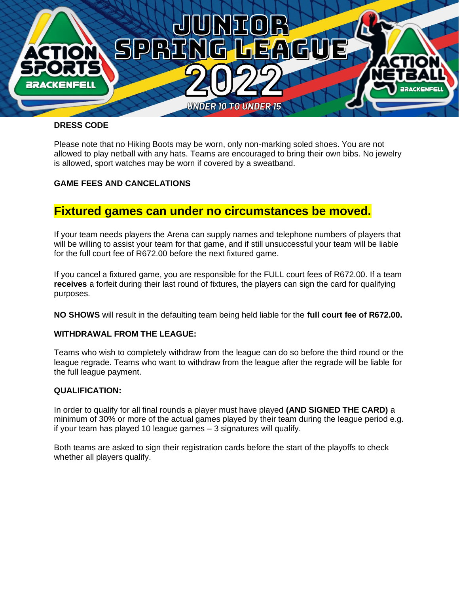

#### **DRESS CODE**

Please note that no Hiking Boots may be worn, only non-marking soled shoes. You are not allowed to play netball with any hats. Teams are encouraged to bring their own bibs. No jewelry is allowed, sport watches may be worn if covered by a sweatband.

#### **GAME FEES AND CANCELATIONS**

## **Fixtured games can under no circumstances be moved.**

If your team needs players the Arena can supply names and telephone numbers of players that will be willing to assist your team for that game, and if still unsuccessful your team will be liable for the full court fee of R672.00 before the next fixtured game.

If you cancel a fixtured game, you are responsible for the FULL court fees of R672.00. If a team **receives** a forfeit during their last round of fixtures, the players can sign the card for qualifying purposes.

**NO SHOWS** will result in the defaulting team being held liable for the **full court fee of R672.00.** 

#### **WITHDRAWAL FROM THE LEAGUE:**

Teams who wish to completely withdraw from the league can do so before the third round or the league regrade. Teams who want to withdraw from the league after the regrade will be liable for the full league payment.

#### **QUALIFICATION:**

In order to qualify for all final rounds a player must have played **(AND SIGNED THE CARD)** a minimum of 30% or more of the actual games played by their team during the league period e.g. if your team has played 10 league games – 3 signatures will qualify.

Both teams are asked to sign their registration cards before the start of the playoffs to check whether all players qualify.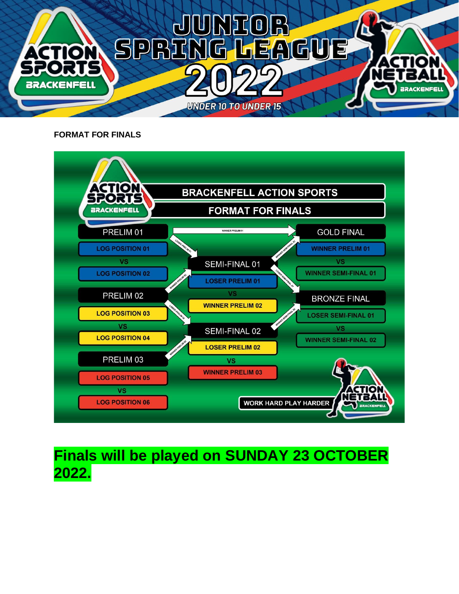

**FORMAT FOR FINALS**



## **Finals will be played on SUNDAY 23 OCTOBER 2022.**